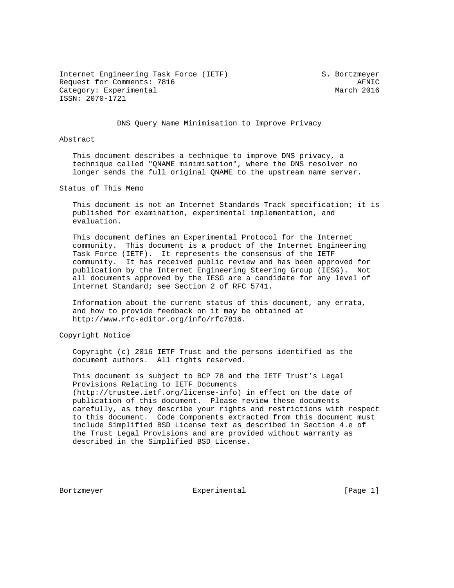Internet Engineering Task Force (IETF) S. Bortzmeyer Request for Comments: 7816 AFNIC Category: Experimental March 2016 ISSN: 2070-1721

DNS Query Name Minimisation to Improve Privacy

### Abstract

 This document describes a technique to improve DNS privacy, a technique called "QNAME minimisation", where the DNS resolver no longer sends the full original QNAME to the upstream name server.

Status of This Memo

 This document is not an Internet Standards Track specification; it is published for examination, experimental implementation, and evaluation.

 This document defines an Experimental Protocol for the Internet community. This document is a product of the Internet Engineering Task Force (IETF). It represents the consensus of the IETF community. It has received public review and has been approved for publication by the Internet Engineering Steering Group (IESG). Not all documents approved by the IESG are a candidate for any level of Internet Standard; see Section 2 of RFC 5741.

 Information about the current status of this document, any errata, and how to provide feedback on it may be obtained at http://www.rfc-editor.org/info/rfc7816.

Copyright Notice

 Copyright (c) 2016 IETF Trust and the persons identified as the document authors. All rights reserved.

 This document is subject to BCP 78 and the IETF Trust's Legal Provisions Relating to IETF Documents (http://trustee.ietf.org/license-info) in effect on the date of publication of this document. Please review these documents carefully, as they describe your rights and restrictions with respect to this document. Code Components extracted from this document must include Simplified BSD License text as described in Section 4.e of the Trust Legal Provisions and are provided without warranty as described in the Simplified BSD License.

Bortzmeyer **Experimental** Experimental [Page 1]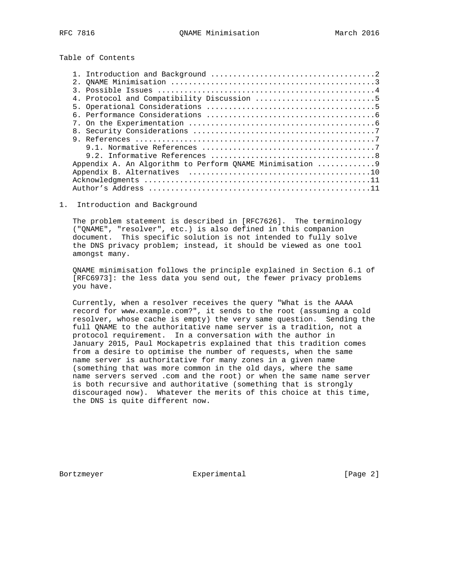Table of Contents

# 1. Introduction and Background

 The problem statement is described in [RFC7626]. The terminology ("QNAME", "resolver", etc.) is also defined in this companion document. This specific solution is not intended to fully solve the DNS privacy problem; instead, it should be viewed as one tool amongst many.

 QNAME minimisation follows the principle explained in Section 6.1 of [RFC6973]: the less data you send out, the fewer privacy problems you have.

 Currently, when a resolver receives the query "What is the AAAA record for www.example.com?", it sends to the root (assuming a cold resolver, whose cache is empty) the very same question. Sending the full QNAME to the authoritative name server is a tradition, not a protocol requirement. In a conversation with the author in January 2015, Paul Mockapetris explained that this tradition comes from a desire to optimise the number of requests, when the same name server is authoritative for many zones in a given name (something that was more common in the old days, where the same name servers served .com and the root) or when the same name server is both recursive and authoritative (something that is strongly discouraged now). Whatever the merits of this choice at this time, the DNS is quite different now.

Bortzmeyer **Experimental** Experimental [Page 2]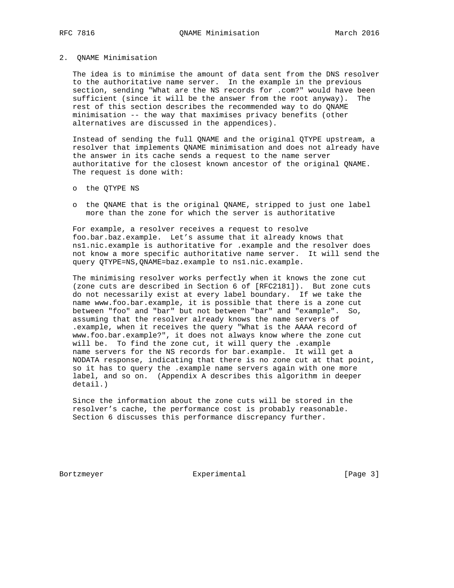#### 2. QNAME Minimisation

 The idea is to minimise the amount of data sent from the DNS resolver to the authoritative name server. In the example in the previous section, sending "What are the NS records for .com?" would have been sufficient (since it will be the answer from the root anyway). The rest of this section describes the recommended way to do QNAME minimisation -- the way that maximises privacy benefits (other alternatives are discussed in the appendices).

 Instead of sending the full QNAME and the original QTYPE upstream, a resolver that implements QNAME minimisation and does not already have the answer in its cache sends a request to the name server authoritative for the closest known ancestor of the original QNAME. The request is done with:

- o the QTYPE NS
- o the QNAME that is the original QNAME, stripped to just one label more than the zone for which the server is authoritative

 For example, a resolver receives a request to resolve foo.bar.baz.example. Let's assume that it already knows that ns1.nic.example is authoritative for .example and the resolver does not know a more specific authoritative name server. It will send the query QTYPE=NS,QNAME=baz.example to ns1.nic.example.

 The minimising resolver works perfectly when it knows the zone cut (zone cuts are described in Section 6 of [RFC2181]). But zone cuts do not necessarily exist at every label boundary. If we take the name www.foo.bar.example, it is possible that there is a zone cut between "foo" and "bar" but not between "bar" and "example". So, assuming that the resolver already knows the name servers of .example, when it receives the query "What is the AAAA record of www.foo.bar.example?", it does not always know where the zone cut will be. To find the zone cut, it will query the .example name servers for the NS records for bar.example. It will get a NODATA response, indicating that there is no zone cut at that point, so it has to query the .example name servers again with one more label, and so on. (Appendix A describes this algorithm in deeper detail.)

 Since the information about the zone cuts will be stored in the resolver's cache, the performance cost is probably reasonable. Section 6 discusses this performance discrepancy further.

Bortzmeyer Experimental [Page 3]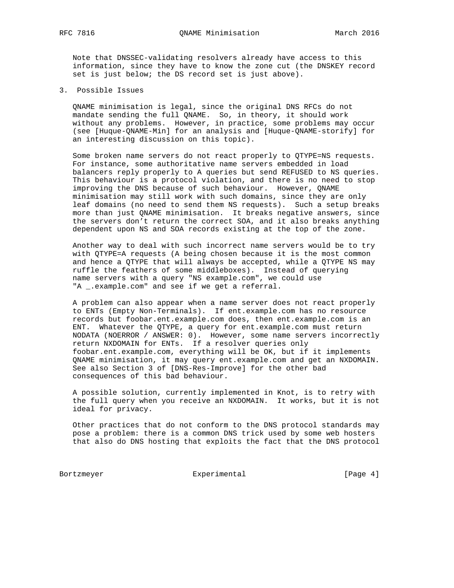Note that DNSSEC-validating resolvers already have access to this information, since they have to know the zone cut (the DNSKEY record set is just below; the DS record set is just above).

3. Possible Issues

 QNAME minimisation is legal, since the original DNS RFCs do not mandate sending the full QNAME. So, in theory, it should work without any problems. However, in practice, some problems may occur (see [Huque-QNAME-Min] for an analysis and [Huque-QNAME-storify] for an interesting discussion on this topic).

 Some broken name servers do not react properly to QTYPE=NS requests. For instance, some authoritative name servers embedded in load balancers reply properly to A queries but send REFUSED to NS queries. This behaviour is a protocol violation, and there is no need to stop improving the DNS because of such behaviour. However, QNAME minimisation may still work with such domains, since they are only leaf domains (no need to send them NS requests). Such a setup breaks more than just QNAME minimisation. It breaks negative answers, since the servers don't return the correct SOA, and it also breaks anything dependent upon NS and SOA records existing at the top of the zone.

 Another way to deal with such incorrect name servers would be to try with QTYPE=A requests (A being chosen because it is the most common and hence a QTYPE that will always be accepted, while a QTYPE NS may ruffle the feathers of some middleboxes). Instead of querying name servers with a query "NS example.com", we could use "A \_.example.com" and see if we get a referral.

 A problem can also appear when a name server does not react properly to ENTs (Empty Non-Terminals). If ent.example.com has no resource records but foobar.ent.example.com does, then ent.example.com is an ENT. Whatever the QTYPE, a query for ent.example.com must return NODATA (NOERROR / ANSWER: 0). However, some name servers incorrectly return NXDOMAIN for ENTs. If a resolver queries only foobar.ent.example.com, everything will be OK, but if it implements QNAME minimisation, it may query ent.example.com and get an NXDOMAIN. See also Section 3 of [DNS-Res-Improve] for the other bad consequences of this bad behaviour.

 A possible solution, currently implemented in Knot, is to retry with the full query when you receive an NXDOMAIN. It works, but it is not ideal for privacy.

 Other practices that do not conform to the DNS protocol standards may pose a problem: there is a common DNS trick used by some web hosters that also do DNS hosting that exploits the fact that the DNS protocol

Bortzmeyer Experimental Experimental [Page 4]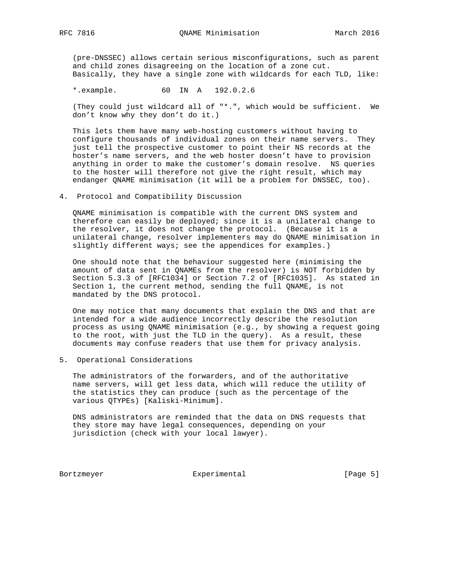(pre-DNSSEC) allows certain serious misconfigurations, such as parent and child zones disagreeing on the location of a zone cut. Basically, they have a single zone with wildcards for each TLD, like:

\*.example. 60 IN A 192.0.2.6

 (They could just wildcard all of "\*.", which would be sufficient. We don't know why they don't do it.)

 This lets them have many web-hosting customers without having to configure thousands of individual zones on their name servers. They just tell the prospective customer to point their NS records at the hoster's name servers, and the web hoster doesn't have to provision anything in order to make the customer's domain resolve. NS queries to the hoster will therefore not give the right result, which may endanger QNAME minimisation (it will be a problem for DNSSEC, too).

4. Protocol and Compatibility Discussion

 QNAME minimisation is compatible with the current DNS system and therefore can easily be deployed; since it is a unilateral change to the resolver, it does not change the protocol. (Because it is a unilateral change, resolver implementers may do QNAME minimisation in slightly different ways; see the appendices for examples.)

 One should note that the behaviour suggested here (minimising the amount of data sent in QNAMEs from the resolver) is NOT forbidden by Section 5.3.3 of [RFC1034] or Section 7.2 of [RFC1035]. As stated in Section 1, the current method, sending the full QNAME, is not mandated by the DNS protocol.

 One may notice that many documents that explain the DNS and that are intended for a wide audience incorrectly describe the resolution process as using QNAME minimisation (e.g., by showing a request going to the root, with just the TLD in the query). As a result, these documents may confuse readers that use them for privacy analysis.

5. Operational Considerations

 The administrators of the forwarders, and of the authoritative name servers, will get less data, which will reduce the utility of the statistics they can produce (such as the percentage of the various QTYPEs) [Kaliski-Minimum].

 DNS administrators are reminded that the data on DNS requests that they store may have legal consequences, depending on your jurisdiction (check with your local lawyer).

Bortzmeyer Experimental Experimental [Page 5]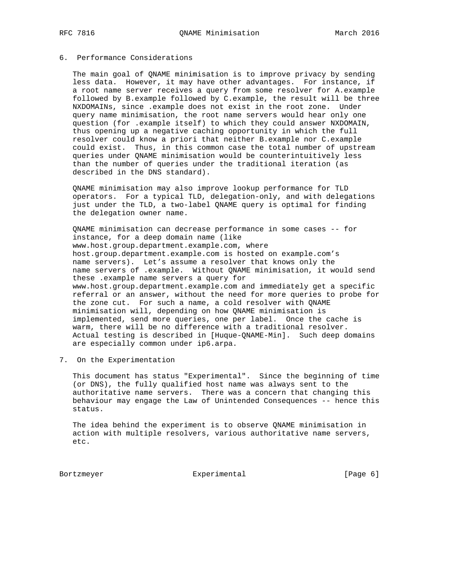# 6. Performance Considerations

 The main goal of QNAME minimisation is to improve privacy by sending less data. However, it may have other advantages. For instance, if a root name server receives a query from some resolver for A.example followed by B.example followed by C.example, the result will be three NXDOMAINs, since .example does not exist in the root zone. Under query name minimisation, the root name servers would hear only one question (for .example itself) to which they could answer NXDOMAIN, thus opening up a negative caching opportunity in which the full resolver could know a priori that neither B.example nor C.example could exist. Thus, in this common case the total number of upstream queries under QNAME minimisation would be counterintuitively less than the number of queries under the traditional iteration (as described in the DNS standard).

 QNAME minimisation may also improve lookup performance for TLD operators. For a typical TLD, delegation-only, and with delegations just under the TLD, a two-label QNAME query is optimal for finding the delegation owner name.

 QNAME minimisation can decrease performance in some cases -- for instance, for a deep domain name (like www.host.group.department.example.com, where host.group.department.example.com is hosted on example.com's name servers). Let's assume a resolver that knows only the name servers of .example. Without QNAME minimisation, it would send these .example name servers a query for www.host.group.department.example.com and immediately get a specific referral or an answer, without the need for more queries to probe for the zone cut. For such a name, a cold resolver with QNAME minimisation will, depending on how QNAME minimisation is implemented, send more queries, one per label. Once the cache is warm, there will be no difference with a traditional resolver. Actual testing is described in [Huque-QNAME-Min]. Such deep domains are especially common under ip6.arpa.

7. On the Experimentation

 This document has status "Experimental". Since the beginning of time (or DNS), the fully qualified host name was always sent to the authoritative name servers. There was a concern that changing this behaviour may engage the Law of Unintended Consequences -- hence this status.

 The idea behind the experiment is to observe QNAME minimisation in action with multiple resolvers, various authoritative name servers, etc.

Bortzmeyer Experimental Experimental [Page 6]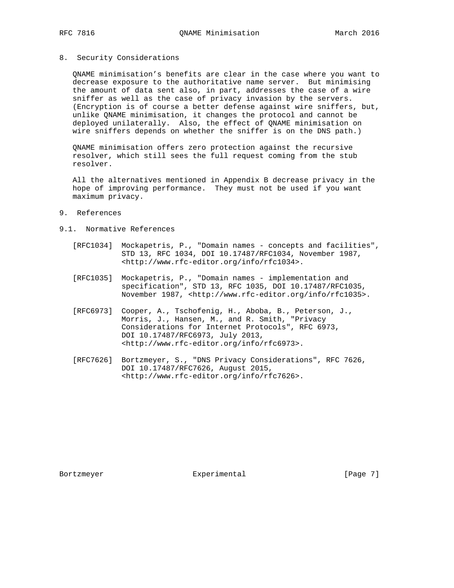### 8. Security Considerations

 QNAME minimisation's benefits are clear in the case where you want to decrease exposure to the authoritative name server. But minimising the amount of data sent also, in part, addresses the case of a wire sniffer as well as the case of privacy invasion by the servers. (Encryption is of course a better defense against wire sniffers, but, unlike QNAME minimisation, it changes the protocol and cannot be deployed unilaterally. Also, the effect of QNAME minimisation on wire sniffers depends on whether the sniffer is on the DNS path.)

 QNAME minimisation offers zero protection against the recursive resolver, which still sees the full request coming from the stub resolver.

 All the alternatives mentioned in Appendix B decrease privacy in the hope of improving performance. They must not be used if you want maximum privacy.

- 9. References
- 9.1. Normative References
- [RFC1034] Mockapetris, P., "Domain names concepts and facilities", STD 13, RFC 1034, DOI 10.17487/RFC1034, November 1987, <http://www.rfc-editor.org/info/rfc1034>.
	- [RFC1035] Mockapetris, P., "Domain names implementation and specification", STD 13, RFC 1035, DOI 10.17487/RFC1035, November 1987, <http://www.rfc-editor.org/info/rfc1035>.
	- [RFC6973] Cooper, A., Tschofenig, H., Aboba, B., Peterson, J., Morris, J., Hansen, M., and R. Smith, "Privacy Considerations for Internet Protocols", RFC 6973, DOI 10.17487/RFC6973, July 2013, <http://www.rfc-editor.org/info/rfc6973>.
	- [RFC7626] Bortzmeyer, S., "DNS Privacy Considerations", RFC 7626, DOI 10.17487/RFC7626, August 2015, <http://www.rfc-editor.org/info/rfc7626>.

Bortzmeyer **Experimental** Experimental [Page 7]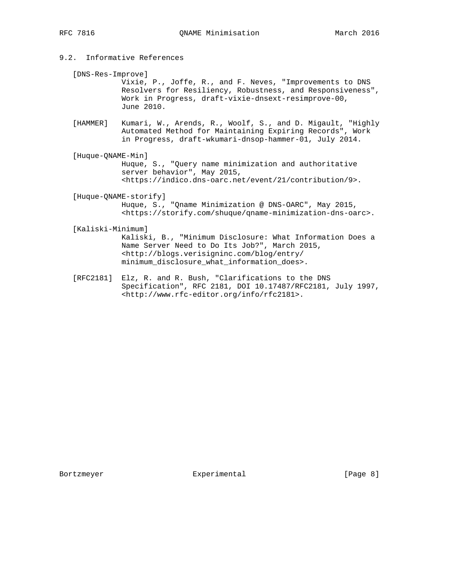- 9.2. Informative References
	- [DNS-Res-Improve]

 Vixie, P., Joffe, R., and F. Neves, "Improvements to DNS Resolvers for Resiliency, Robustness, and Responsiveness", Work in Progress, draft-vixie-dnsext-resimprove-00, June 2010.

- [HAMMER] Kumari, W., Arends, R., Woolf, S., and D. Migault, "Highly Automated Method for Maintaining Expiring Records", Work in Progress, draft-wkumari-dnsop-hammer-01, July 2014.
- [Huque-QNAME-Min] Huque, S., "Query name minimization and authoritative server behavior", May 2015, <https://indico.dns-oarc.net/event/21/contribution/9>.
- [Huque-QNAME-storify] Huque, S., "Qname Minimization @ DNS-OARC", May 2015, <https://storify.com/shuque/qname-minimization-dns-oarc>.
- [Kaliski-Minimum]

 Kaliski, B., "Minimum Disclosure: What Information Does a Name Server Need to Do Its Job?", March 2015, <http://blogs.verisigninc.com/blog/entry/ minimum\_disclosure\_what\_information\_does>.

 [RFC2181] Elz, R. and R. Bush, "Clarifications to the DNS Specification", RFC 2181, DOI 10.17487/RFC2181, July 1997, <http://www.rfc-editor.org/info/rfc2181>.

Bortzmeyer Experimental [Page 8]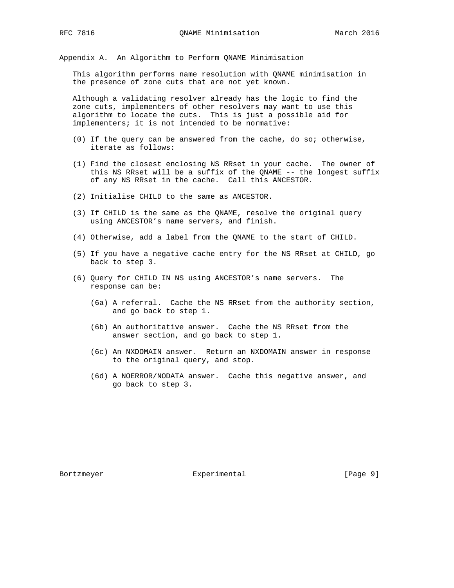Appendix A. An Algorithm to Perform QNAME Minimisation

 This algorithm performs name resolution with QNAME minimisation in the presence of zone cuts that are not yet known.

 Although a validating resolver already has the logic to find the zone cuts, implementers of other resolvers may want to use this algorithm to locate the cuts. This is just a possible aid for implementers; it is not intended to be normative:

- (0) If the query can be answered from the cache, do so; otherwise, iterate as follows:
- (1) Find the closest enclosing NS RRset in your cache. The owner of this NS RRset will be a suffix of the QNAME -- the longest suffix of any NS RRset in the cache. Call this ANCESTOR.
- (2) Initialise CHILD to the same as ANCESTOR.
- (3) If CHILD is the same as the QNAME, resolve the original query using ANCESTOR's name servers, and finish.
- (4) Otherwise, add a label from the QNAME to the start of CHILD.
- (5) If you have a negative cache entry for the NS RRset at CHILD, go back to step 3.
- (6) Query for CHILD IN NS using ANCESTOR's name servers. The response can be:
	- (6a) A referral. Cache the NS RRset from the authority section, and go back to step 1.
	- (6b) An authoritative answer. Cache the NS RRset from the answer section, and go back to step 1.
	- (6c) An NXDOMAIN answer. Return an NXDOMAIN answer in response to the original query, and stop.
	- (6d) A NOERROR/NODATA answer. Cache this negative answer, and go back to step 3.

Bortzmeyer **Experimental** Experimental [Page 9]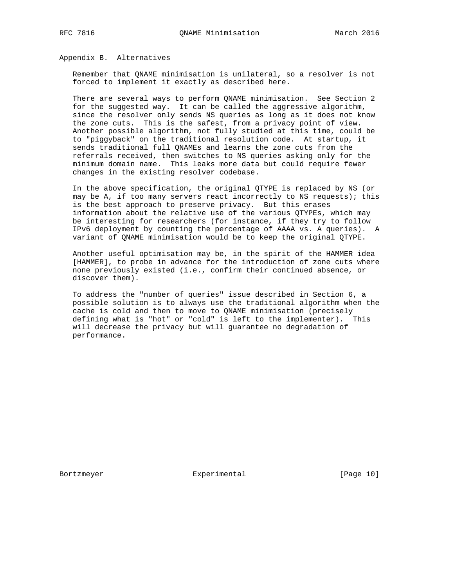Appendix B. Alternatives

 Remember that QNAME minimisation is unilateral, so a resolver is not forced to implement it exactly as described here.

 There are several ways to perform QNAME minimisation. See Section 2 for the suggested way. It can be called the aggressive algorithm, since the resolver only sends NS queries as long as it does not know the zone cuts. This is the safest, from a privacy point of view. Another possible algorithm, not fully studied at this time, could be to "piggyback" on the traditional resolution code. At startup, it sends traditional full QNAMEs and learns the zone cuts from the referrals received, then switches to NS queries asking only for the minimum domain name. This leaks more data but could require fewer changes in the existing resolver codebase.

 In the above specification, the original QTYPE is replaced by NS (or may be A, if too many servers react incorrectly to NS requests); this is the best approach to preserve privacy. But this erases information about the relative use of the various QTYPEs, which may be interesting for researchers (for instance, if they try to follow IPv6 deployment by counting the percentage of AAAA vs. A queries). A variant of QNAME minimisation would be to keep the original QTYPE.

 Another useful optimisation may be, in the spirit of the HAMMER idea [HAMMER], to probe in advance for the introduction of zone cuts where none previously existed (i.e., confirm their continued absence, or discover them).

 To address the "number of queries" issue described in Section 6, a possible solution is to always use the traditional algorithm when the cache is cold and then to move to QNAME minimisation (precisely defining what is "hot" or "cold" is left to the implementer). This will decrease the privacy but will guarantee no degradation of performance.

Bortzmeyer Experimental [Page 10]